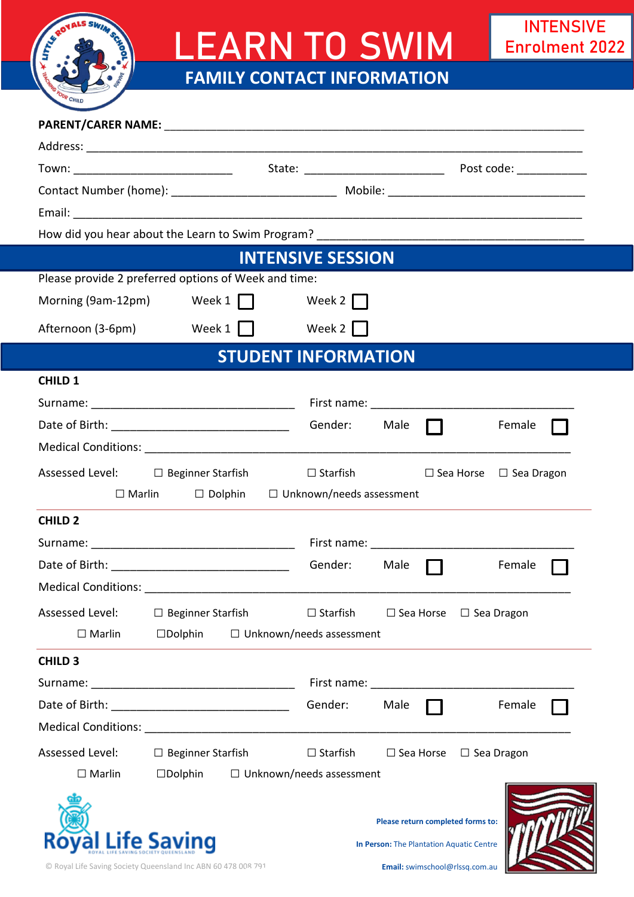

## LEARN TO SWIM **FAMILY CONTACT INFORMATION**

| <b>INTENSIVE SESSION</b>                                                                                                                                                               |                                                      |                 |             |                                                                               |        |  |  |
|----------------------------------------------------------------------------------------------------------------------------------------------------------------------------------------|------------------------------------------------------|-----------------|-------------|-------------------------------------------------------------------------------|--------|--|--|
|                                                                                                                                                                                        | Please provide 2 preferred options of Week and time: |                 |             |                                                                               |        |  |  |
|                                                                                                                                                                                        | Morning $(9am-12pm)$ Week $1$                        | Week 2          |             |                                                                               |        |  |  |
| Afternoon (3-6pm)                                                                                                                                                                      | Week 1   Week 2                                      |                 |             |                                                                               |        |  |  |
| <b>STUDENT INFORMATION</b>                                                                                                                                                             |                                                      |                 |             |                                                                               |        |  |  |
| <b>CHILD 1</b>                                                                                                                                                                         |                                                      |                 |             |                                                                               |        |  |  |
|                                                                                                                                                                                        |                                                      |                 |             |                                                                               |        |  |  |
|                                                                                                                                                                                        |                                                      |                 | Male $\Box$ |                                                                               | Female |  |  |
|                                                                                                                                                                                        |                                                      |                 |             |                                                                               |        |  |  |
|                                                                                                                                                                                        | Assessed Level: □ Beginner Starfish □ Starfish       |                 |             | $\Box$ Sea Horse $\Box$ Sea Dragon                                            |        |  |  |
| $\Box$ Dolphin $\Box$ Unknown/needs assessment<br>$\square$ Marlin<br>and the control of the control of the control of the control of the control of the control of the control of the |                                                      |                 |             |                                                                               |        |  |  |
| <b>CHILD 2</b>                                                                                                                                                                         |                                                      |                 |             |                                                                               |        |  |  |
|                                                                                                                                                                                        |                                                      |                 |             |                                                                               |        |  |  |
|                                                                                                                                                                                        |                                                      | Gender:         | Male        |                                                                               | Female |  |  |
| Medical Conditions: _                                                                                                                                                                  |                                                      |                 |             |                                                                               |        |  |  |
| Assessed Level:                                                                                                                                                                        | $\Box$ Beginner Starfish                             | $\Box$ Starfish |             | $\Box$ Sea Horse $\Box$ Sea Dragon                                            |        |  |  |
| $\Box$ Marlin                                                                                                                                                                          | $\Box$ Dolphin $\Box$ Unknown/needs assessment       |                 |             |                                                                               |        |  |  |
| <b>CHILD 3</b>                                                                                                                                                                         |                                                      |                 |             |                                                                               |        |  |  |
|                                                                                                                                                                                        |                                                      |                 |             |                                                                               |        |  |  |
|                                                                                                                                                                                        |                                                      | Gender:         | Male        |                                                                               | Female |  |  |
|                                                                                                                                                                                        |                                                      |                 |             |                                                                               |        |  |  |
| Assessed Level:                                                                                                                                                                        | $\Box$ Beginner Starfish                             | $\Box$ Starfish |             | $\Box$ Sea Horse $\Box$ Sea Dragon                                            |        |  |  |
| $\Box$ Marlin                                                                                                                                                                          | $\Box$ Dolphin $\Box$ Unknown/needs assessment       |                 |             |                                                                               |        |  |  |
|                                                                                                                                                                                        | <b>Life Saving</b>                                   |                 |             | Please return completed forms to:<br>In Person: The Plantation Aquatic Centre |        |  |  |

© Royal Life Saving Society Queensland Inc ABN 60 478 008 791  $28791$  **Email:** swimschool@rlssq.com.au